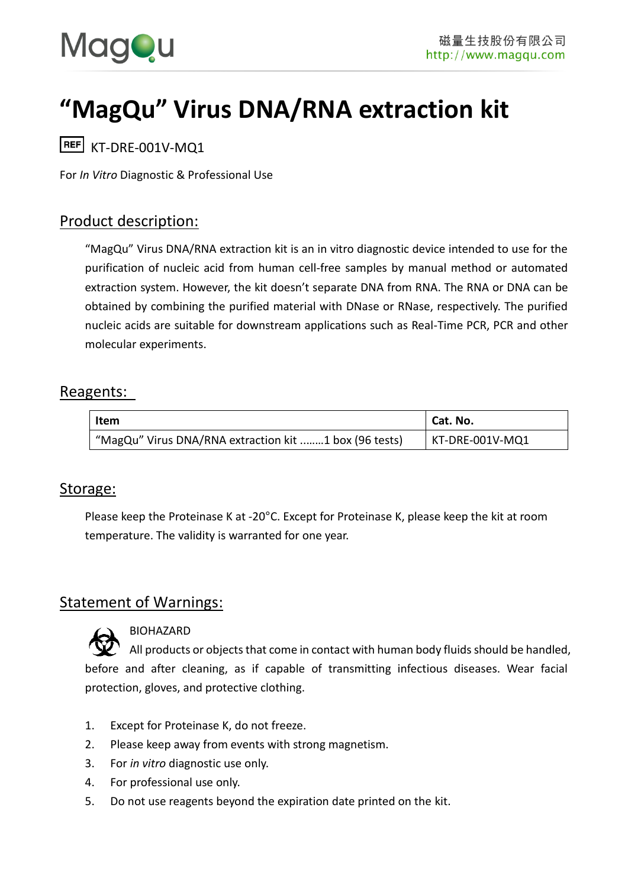

# **"MagQu" Virus DNA/RNA extraction kit**

 $REF$  KT-DRF-001V-MO1

For *In Vitro* Diagnostic & Professional Use

# Product description:

"MagQu" Virus DNA/RNA extraction kit is an in vitro diagnostic device intended to use for the purification of nucleic acid from human cell-free samples by manual method or automated extraction system. However, the kit doesn't separate DNA from RNA. The RNA or DNA can be obtained by combining the purified material with DNase or RNase, respectively. The purified nucleic acids are suitable for downstream applications such as Real-Time PCR, PCR and other molecular experiments.

# Reagents:

| Item                                                  | Cat. No.        |
|-------------------------------------------------------|-----------------|
| "MagQu" Virus DNA/RNA extraction kit 1 box (96 tests) | KT-DRE-001V-MQ1 |

## Storage:

Please keep the Proteinase K at -20°C. Except for Proteinase K, please keep the kit at room temperature. The validity is warranted for one year.

# Statement of Warnings:



#### BIOHAZARD

All products or objects that come in contact with human body fluids should be handled, before and after cleaning, as if capable of transmitting infectious diseases. Wear facial protection, gloves, and protective clothing.

- 1. Except for Proteinase K, do not freeze.
- 2. Please keep away from events with strong magnetism.
- 3. For *in vitro* diagnostic use only.
- 4. For professional use only.
- 5. Do not use reagents beyond the expiration date printed on the kit.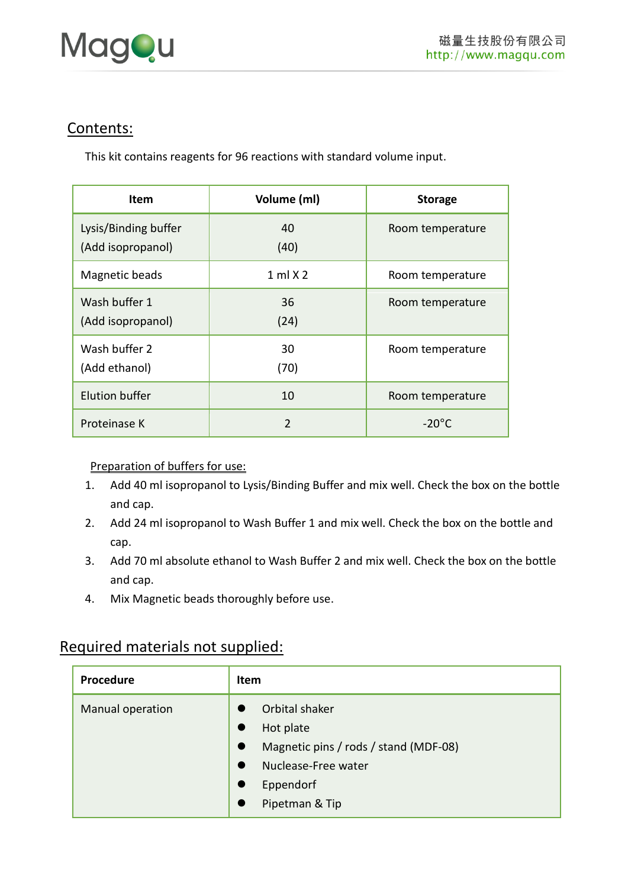

# Contents:

This kit contains reagents for 96 reactions with standard volume input.

| <b>Item</b>                               | Volume (ml)    | <b>Storage</b>   |
|-------------------------------------------|----------------|------------------|
| Lysis/Binding buffer<br>(Add isopropanol) | 40<br>(40)     | Room temperature |
| Magnetic beads                            | $1$ ml $X$ 2   | Room temperature |
| Wash buffer 1<br>(Add isopropanol)        | 36<br>(24)     | Room temperature |
| Wash buffer 2<br>(Add ethanol)            | 30<br>(70)     | Room temperature |
| <b>Elution buffer</b>                     | 10             | Room temperature |
| Proteinase K                              | $\mathfrak{D}$ | $-20^{\circ}$ C  |

#### Preparation of buffers for use:

- 1. Add 40 ml isopropanol to Lysis/Binding Buffer and mix well. Check the box on the bottle and cap.
- 2. Add 24 ml isopropanol to Wash Buffer 1 and mix well. Check the box on the bottle and cap.
- 3. Add 70 ml absolute ethanol to Wash Buffer 2 and mix well. Check the box on the bottle and cap.
- 4. Mix Magnetic beads thoroughly before use.

# Required materials not supplied:

| Procedure        | Item                                                                                                                                    |  |  |
|------------------|-----------------------------------------------------------------------------------------------------------------------------------------|--|--|
| Manual operation | Orbital shaker<br>Hot plate<br>Magnetic pins / rods / stand (MDF-08)<br>$\bullet$<br>Nuclease-Free water<br>Eppendorf<br>Pipetman & Tip |  |  |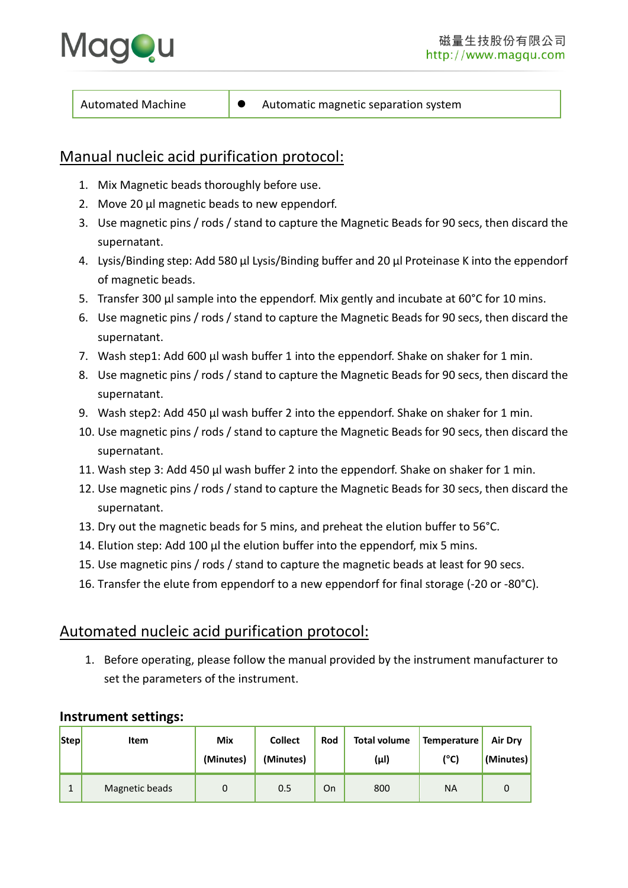

# Manual nucleic acid purification protocol:

- 1. Mix Magnetic beads thoroughly before use.
- 2. Move 20 μl magnetic beads to new eppendorf.
- 3. Use magnetic pins / rods / stand to capture the Magnetic Beads for 90 secs, then discard the supernatant.
- 4. Lysis/Binding step: Add 580 μl Lysis/Binding buffer and 20 μl Proteinase K into the eppendorf of magnetic beads.
- 5. Transfer 300 μl sample into the eppendorf. Mix gently and incubate at 60°C for 10 mins.
- 6. Use magnetic pins / rods / stand to capture the Magnetic Beads for 90 secs, then discard the supernatant.
- 7. Wash step1: Add 600 μl wash buffer 1 into the eppendorf. Shake on shaker for 1 min.
- 8. Use magnetic pins / rods / stand to capture the Magnetic Beads for 90 secs, then discard the supernatant.
- 9. Wash step2: Add 450 μl wash buffer 2 into the eppendorf. Shake on shaker for 1 min.
- 10. Use magnetic pins / rods / stand to capture the Magnetic Beads for 90 secs, then discard the supernatant.
- 11. Wash step 3: Add 450 μl wash buffer 2 into the eppendorf. Shake on shaker for 1 min.
- 12. Use magnetic pins / rods / stand to capture the Magnetic Beads for 30 secs, then discard the supernatant.
- 13. Dry out the magnetic beads for 5 mins, and preheat the elution buffer to 56°C.
- 14. Elution step: Add 100 μl the elution buffer into the eppendorf, mix 5 mins.
- 15. Use magnetic pins / rods / stand to capture the magnetic beads at least for 90 secs.
- 16. Transfer the elute from eppendorf to a new eppendorf for final storage (-20 or -80°C).

# Automated nucleic acid purification protocol:

1. Before operating, please follow the manual provided by the instrument manufacturer to set the parameters of the instrument.

#### **Instrument settings:**

| Step | Item           | <b>Mix</b><br>(Minutes) | <b>Collect</b><br>(Minutes) | Rod | <b>Total volume</b><br>(µl) | Temperature<br>$(^{\circ}C)$ | <b>Air Dry</b><br>(Minutes) |
|------|----------------|-------------------------|-----------------------------|-----|-----------------------------|------------------------------|-----------------------------|
|      | Magnetic beads | 0                       | 0.5                         | On  | 800                         | <b>NA</b>                    |                             |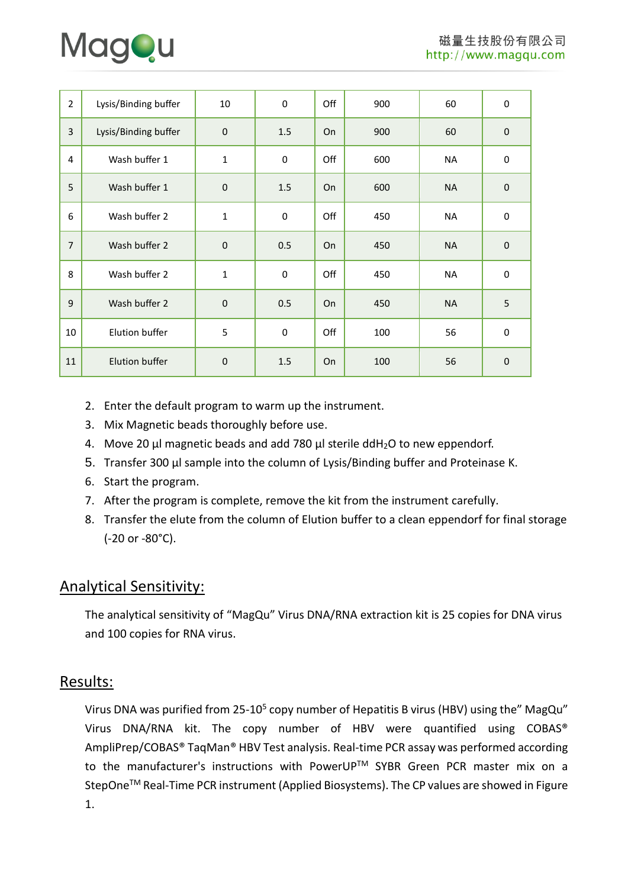

| $\overline{2}$ | Lysis/Binding buffer | 10          | 0         | Off | 900 | 60        | $\boldsymbol{0}$ |
|----------------|----------------------|-------------|-----------|-----|-----|-----------|------------------|
| 3              | Lysis/Binding buffer | $\mathbf 0$ | 1.5       | On  | 900 | 60        | $\mathbf 0$      |
| 4              | Wash buffer 1        | $\mathbf 1$ | 0         | Off | 600 | <b>NA</b> | $\mathbf 0$      |
| 5              | Wash buffer 1        | $\mathbf 0$ | 1.5       | On  | 600 | <b>NA</b> | $\mathbf 0$      |
| 6              | Wash buffer 2        | $\mathbf 1$ | 0         | Off | 450 | <b>NA</b> | $\boldsymbol{0}$ |
| $\overline{7}$ | Wash buffer 2        | $\mathbf 0$ | 0.5       | On  | 450 | <b>NA</b> | $\mathbf 0$      |
| 8              | Wash buffer 2        | $\mathbf 1$ | $\pmb{0}$ | Off | 450 | <b>NA</b> | $\mathbf 0$      |
| 9              | Wash buffer 2        | $\pmb{0}$   | 0.5       | On  | 450 | <b>NA</b> | 5                |
| 10             | Elution buffer       | 5           | $\pmb{0}$ | Off | 100 | 56        | $\boldsymbol{0}$ |
| 11             | Elution buffer       | $\mathbf 0$ | 1.5       | On  | 100 | 56        | $\mathbf 0$      |

- 2. Enter the default program to warm up the instrument.
- 3. Mix Magnetic beads thoroughly before use.
- 4. Move 20 μl magnetic beads and add 780 μl sterile ddH2O to new eppendorf.
- 5. Transfer 300 μl sample into the column of Lysis/Binding buffer and Proteinase K.
- 6. Start the program.
- 7. After the program is complete, remove the kit from the instrument carefully.
- 8. Transfer the elute from the column of Elution buffer to a clean eppendorf for final storage (-20 or -80°C).

# Analytical Sensitivity:

The analytical sensitivity of "MagQu" Virus DNA/RNA extraction kit is 25 copies for DNA virus and 100 copies for RNA virus.

## Results:

Virus DNA was purified from 25-10<sup>5</sup> copy number of Hepatitis B virus (HBV) using the" MagQu" Virus DNA/RNA kit. The copy number of HBV were quantified using COBAS® AmpliPrep/COBAS® TaqMan® HBV Test analysis. Real-time PCR assay was performed according to the manufacturer's instructions with PowerUP™ SYBR Green PCR master mix on a StepOne™ Real-Time PCR instrument (Applied Biosystems). The CP values are showed in Figure 1.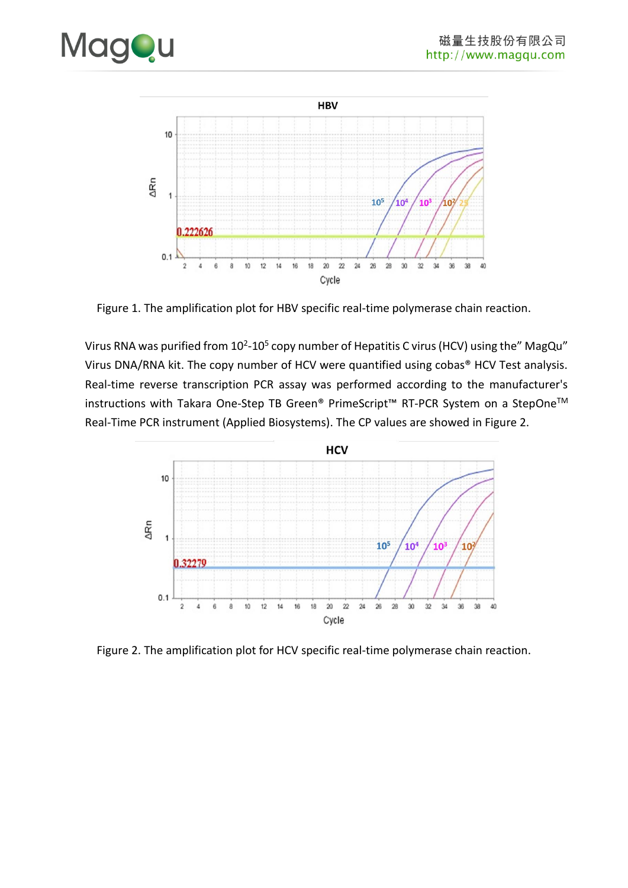



Figure 1. The amplification plot for HBV specific real-time polymerase chain reaction.

Virus RNA was purified from 10<sup>2</sup>-10<sup>5</sup> copy number of Hepatitis C virus (HCV) using the" MagQu" Virus DNA/RNA kit. The copy number of HCV were quantified using cobas® HCV Test analysis. Real-time reverse transcription PCR assay was performed according to the manufacturer's instructions with Takara One-Step TB Green® PrimeScript™ RT-PCR System on a StepOneTM Real-Time PCR instrument (Applied Biosystems). The CP values are showed in Figure 2.



Figure 2. The amplification plot for HCV specific real-time polymerase chain reaction.